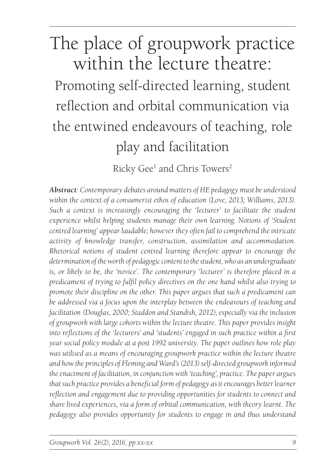# The place of groupwork practice within the lecture theatre:

Promoting self-directed learning, student reflection and orbital communication via the entwined endeavours of teaching, role play and facilitation

Ricky Gee<sup>1</sup> and Chris Towers<sup>2</sup>

*Abstract: Contemporary debates around matters of HE pedagogy must be understood within the context of a consumerist ethos of education (Love, 2013; Williams, 2013). Such a context is increasingly encouraging the 'lecturer' to facilitate the student experience whilst helping students manage their own learning. Notions of 'Student centred learning' appear laudable; however they often fail to comprehend the intricate activity of knowledge transfer, construction, assimilation and accommodation. Rhetorical notions of student centred learning therefore appear to encourage the determination of the worth of pedagogic content to the student, who as an undergraduate is, or likely to be, the 'novice'. The contemporary 'lecturer' is therefore placed in a predicament of trying to fulfil policy directives on the one hand whilst also trying to promote their discipline on the other. This paper argues that such a predicament can be addressed via a focus upon the interplay between the endeavours of teaching and facilitation (Douglas, 2000; Staddon and Standish, 2012), especially via the inclusion of groupwork with large cohorts within the lecture theatre. This paper provides insight into reflections of the 'lecturers' and 'students' engaged in such practice within a first year social policy module at a post 1992 university. The paper outlines how role play was utilised as a means of encouraging groupwork practice within the lecture theatre and how the principles of Fleming and Ward's (2013) self-directed groupwork informed the enactment of facilitation, in conjunction with 'teaching', practice. The paper argues that such practice provides a beneficial form of pedagogy as it encourages better learner reflection and engagement due to providing opportunities for students to connect and share lived experiences, via a form of orbital communication, with theory learnt. The pedagogy also provides opportunity for students to engage in and thus understand*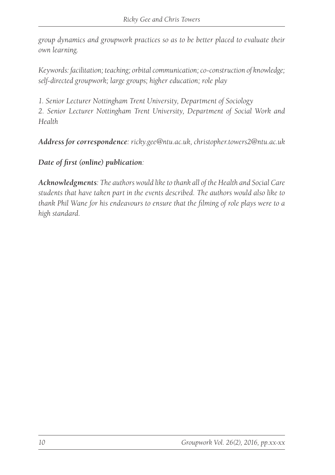*group dynamics and groupwork practices so as to be better placed to evaluate their own learning.*

*Keywords: facilitation; teaching; orbital communication; co-construction of knowledge; self-directed groupwork; large groups; higher education; role play*

*1. Senior Lecturer Nottingham Trent University, Department of Sociology*

*2. Senior Lecturer Nottingham Trent University, Department of Social Work and Health*

*Address for correspondence: ricky.gee@ntu.ac.uk, christopher.towers2@ntu.ac.uk*

*Date of first (online) publication:* 

*Acknowledgments: The authors would like to thank all of the Health and Social Care students that have taken part in the events described. The authors would also like to thank Phil Wane for his endeavours to ensure that the filming of role plays were to a high standard.*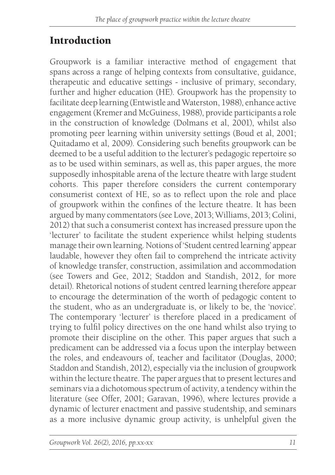## Introduction

Groupwork is a familiar interactive method of engagement that spans across a range of helping contexts from consultative, guidance, therapeutic and educative settings - inclusive of primary, secondary, further and higher education (HE). Groupwork has the propensity to facilitate deep learning (Entwistle and Waterston, 1988), enhance active engagement (Kremer and McGuiness, 1988), provide participants a role in the construction of knowledge (Dolmans et al, 2001), whilst also promoting peer learning within university settings (Boud et al, 2001; Quitadamo et al, 2009). Considering such benefits groupwork can be deemed to be a useful addition to the lecturer's pedagogic repertoire so as to be used within seminars, as well as, this paper argues, the more supposedly inhospitable arena of the lecture theatre with large student cohorts. This paper therefore considers the current contemporary consumerist context of HE, so as to reflect upon the role and place of groupwork within the confines of the lecture theatre. It has been argued by many commentators (see Love, 2013; Williams, 2013; Colini, 2012) that such a consumerist context has increased pressure upon the 'lecturer' to facilitate the student experience whilst helping students manage their own learning. Notions of 'Student centred learning' appear laudable, however they often fail to comprehend the intricate activity of knowledge transfer, construction, assimilation and accommodation (see Towers and Gee, 2012; Staddon and Standish, 2012, for more detail). Rhetorical notions of student centred learning therefore appear to encourage the determination of the worth of pedagogic content to the student, who as an undergraduate is, or likely to be, the 'novice'. The contemporary 'lecturer' is therefore placed in a predicament of trying to fulfil policy directives on the one hand whilst also trying to promote their discipline on the other. This paper argues that such a predicament can be addressed via a focus upon the interplay between the roles, and endeavours of, teacher and facilitator (Douglas, 2000; Staddon and Standish, 2012), especially via the inclusion of groupwork within the lecture theatre. The paper argues that to present lectures and seminars via a dichotomous spectrum of activity, a tendency within the literature (see Offer, 2001; Garavan, 1996), where lectures provide a dynamic of lecturer enactment and passive studentship, and seminars as a more inclusive dynamic group activity, is unhelpful given the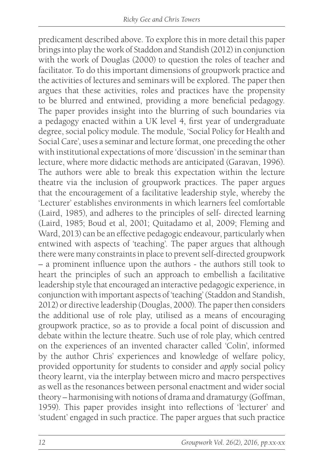predicament described above. To explore this in more detail this paper brings into play the work of Staddon and Standish (2012) in conjunction with the work of Douglas (2000) to question the roles of teacher and facilitator. To do this important dimensions of groupwork practice and the activities of lectures and seminars will be explored. The paper then argues that these activities, roles and practices have the propensity to be blurred and entwined, providing a more beneficial pedagogy. The paper provides insight into the blurring of such boundaries via a pedagogy enacted within a UK level 4, first year of undergraduate degree, social policy module. The module, 'Social Policy for Health and Social Care', uses a seminar and lecture format, one preceding the other with institutional expectations of more 'discussion' in the seminar than lecture, where more didactic methods are anticipated (Garavan, 1996). The authors were able to break this expectation within the lecture theatre via the inclusion of groupwork practices. The paper argues that the encouragement of a facilitative leadership style, whereby the 'Lecturer' establishes environments in which learners feel comfortable (Laird, 1985), and adheres to the principles of self- directed learning (Laird, 1985; Boud et al, 2001; Quitadamo et al, 2009; Fleming and Ward, 2013) can be an effective pedagogic endeavour, particularly when entwined with aspects of 'teaching'. The paper argues that although there were many constraints in place to prevent self-directed groupwork – a prominent influence upon the authors - the authors still took to heart the principles of such an approach to embellish a facilitative leadership style that encouraged an interactive pedagogic experience, in conjunction with important aspects of 'teaching' (Staddon and Standish, 2012) or directive leadership (Douglas, 2000). The paper then considers the additional use of role play, utilised as a means of encouraging groupwork practice, so as to provide a focal point of discussion and debate within the lecture theatre. Such use of role play, which centred on the experiences of an invented character called 'Colin', informed by the author Chris' experiences and knowledge of welfare policy, provided opportunity for students to consider and *apply* social policy theory learnt, via the interplay between micro and macro perspectives as well as the resonances between personal enactment and wider social theory – harmonising with notions of drama and dramaturgy (Goffman, 1959). This paper provides insight into reflections of 'lecturer' and 'student' engaged in such practice. The paper argues that such practice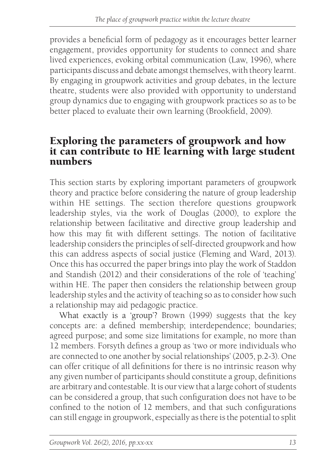provides a beneficial form of pedagogy as it encourages better learner engagement, provides opportunity for students to connect and share lived experiences, evoking orbital communication (Law, 1996), where participants discuss and debate amongst themselves, with theory learnt. By engaging in groupwork activities and group debates, in the lecture theatre, students were also provided with opportunity to understand group dynamics due to engaging with groupwork practices so as to be better placed to evaluate their own learning (Brookfield, 2009).

#### Exploring the parameters of groupwork and how it can contribute to HE learning with large student numbers

This section starts by exploring important parameters of groupwork theory and practice before considering the nature of group leadership within HE settings. The section therefore questions groupwork leadership styles, via the work of Douglas (2000), to explore the relationship between facilitative and directive group leadership and how this may fit with different settings. The notion of facilitative leadership considers the principles of self-directed groupwork and how this can address aspects of social justice (Fleming and Ward, 2013). Once this has occurred the paper brings into play the work of Staddon and Standish (2012) and their considerations of the role of 'teaching' within HE. The paper then considers the relationship between group leadership styles and the activity of teaching so as to consider how such a relationship may aid pedagogic practice.

What exactly is a 'group'? Brown (1999) suggests that the key concepts are: a defined membership; interdependence; boundaries; agreed purpose; and some size limitations for example, no more than 12 members. Forsyth defines a group as 'two or more individuals who are connected to one another by social relationships' (2005, p.2-3). One can offer critique of all definitions for there is no intrinsic reason why any given number of participants should constitute a group, definitions are arbitrary and contestable. It is our view that a large cohort of students can be considered a group, that such configuration does not have to be confined to the notion of 12 members, and that such configurations can still engage in groupwork, especially as there is the potential to split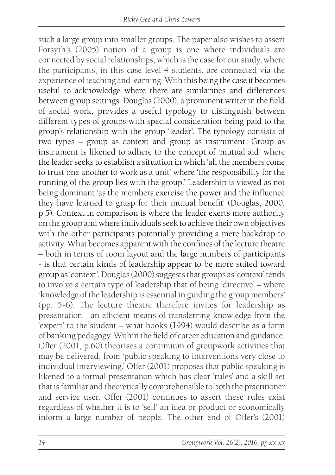such a large group into smaller groups. The paper also wishes to assert Forsyth's (2005) notion of a group is one where individuals are connected by social relationships, which is the case for our study, where the participants, in this case level 4 students, are connected via the experience of teaching and learning. With this being the case it becomes useful to acknowledge where there are similarities and differences between group settings. Douglas (2000), a prominent writer in the field of social work, provides a useful typology to distinguish between different types of groups with special consideration being paid to the group's relationship with the group 'leader'. The typology consists of two types – group as context and group as instrument. Group as instrument is likened to adhere to the concept of 'mutual aid' where the leader seeks to establish a situation in which 'all the members come to trust one another to work as a unit' where 'the responsibility for the running of the group lies with the group.' Leadership is viewed as not being dominant 'as the members exercise the power and the influence they have learned to grasp for their mutual benefit' (Douglas, 2000, p.5). Context in comparison is where the leader exerts more authority on the group and where individuals seek to achieve their own objectives with the other participants potentially providing a mere backdrop to activity. What becomes apparent with the confines of the lecture theatre – both in terms of room layout and the large numbers of participants - is that certain kinds of leadership appear to be more suited toward group as 'context'. Douglas (2000) suggests that groups as 'context' tends to involve a certain type of leadership that of being 'directive' – where 'knowledge of the leadership is essential in guiding the group members' (pp. 5-6). The lecture theatre therefore invites for leadership as presentation - an efficient means of transferring knowledge from the 'expert' to the student – what hooks (1994) would describe as a form of banking pedagogy. Within the field of career education and guidance, Offer (2001, p.60) theorises a continuum of groupwork activities that may be delivered, from 'public speaking to interventions very close to individual interviewing.' Offer (2001) proposes that public speaking is likened to a formal presentation which has clear 'rules' and a skill set that is familiar and theoretically comprehensible to both the practitioner and service user. Offer (2001) continues to assert these rules exist regardless of whether it is to 'sell' an idea or product or economically inform a large number of people. The other end of Offer's (2001)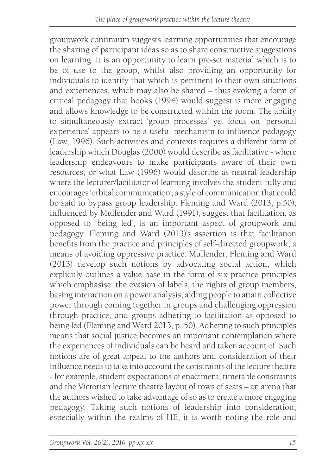groupwork continuum suggests learning opportunities that encourage the sharing of participant ideas so as to share constructive suggestions on learning. It is an opportunity to learn pre-set material which is to be of use to the group, whilst also providing an opportunity for individuals to identify that which is pertinent to their own situations and experiences, which may also be shared – thus evoking a form of critical pedagogy that hooks (1994) would suggest is more engaging and allows knowledge to be constructed within the room. The ability to simultaneously extract 'group processes' yet focus on 'personal experience' appears to be a useful mechanism to influence pedagogy (Law, 1996). Such activities and contexts requires a different form of leadership which Douglas (2000) would describe as facilitative - where leadership endeavours to make participants aware of their own resources, or what Law (1996) would describe as neutral leadership where the lecturer/facilitator of learning involves the student fully and encourages 'orbital communication', a style of communication that could be said to bypass group leadership. Fleming and Ward (2013, p.50), influenced by Mullender and Ward (1991), suggest that facilitation, as opposed to 'being led', is an important aspect of groupwork and pedagogy. Fleming and Ward (2013)'s assertion is that facilitation benefits from the practice and principles of self-directed groupwork, a means of avoiding oppressive practice. Mullender, Fleming and Ward (2013) develop such notions by advocating social action, which explicitly outlines a value base in the form of six practice principles which emphasise: the evasion of labels, the rights of group members, basing interaction on a power analysis, aiding people to attain collective power through coming together in groups and challenging oppression through practice, and groups adhering to facilitation as opposed to being led (Fleming and Ward 2013, p. 50). Adhering to such principles means that social justice becomes an important contemplation where the experiences of individuals can be heard and taken account of. Such notions are of great appeal to the authors and consideration of their influence needs to take into account the constraints of the lecture theatre - for example, student expectations of enactment, timetable constraints and the Victorian lecture theatre layout of rows of seats – an arena that the authors wished to take advantage of so as to create a more engaging pedagogy. Taking such notions of leadership into consideration, especially within the realms of HE, it is worth noting the role and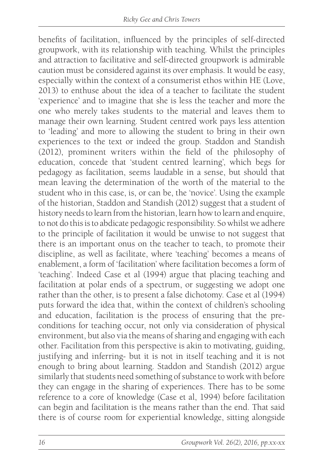benefits of facilitation, influenced by the principles of self-directed groupwork, with its relationship with teaching. Whilst the principles and attraction to facilitative and self-directed groupwork is admirable caution must be considered against its over emphasis. It would be easy, especially within the context of a consumerist ethos within HE (Love, 2013) to enthuse about the idea of a teacher to facilitate the student 'experience' and to imagine that she is less the teacher and more the one who merely takes students to the material and leaves them to manage their own learning. Student centred work pays less attention to 'leading' and more to allowing the student to bring in their own experiences to the text or indeed the group. Staddon and Standish (2012), prominent writers within the field of the philosophy of education, concede that 'student centred learning', which begs for pedagogy as facilitation, seems laudable in a sense, but should that mean leaving the determination of the worth of the material to the student who in this case, is, or can be, the 'novice'. Using the example of the historian, Staddon and Standish (2012) suggest that a student of history needs to learn from the historian, learn how to learn and enquire, to not do this is to abdicate pedagogic responsibility. So whilst we adhere to the principle of facilitation it would be unwise to not suggest that there is an important onus on the teacher to teach, to promote their discipline, as well as facilitate, where 'teaching' becomes a means of enablement, a form of 'facilitation' where facilitation becomes a form of 'teaching'. Indeed Case et al (1994) argue that placing teaching and facilitation at polar ends of a spectrum, or suggesting we adopt one rather than the other, is to present a false dichotomy. Case et al (1994) puts forward the idea that, within the context of children's schooling and education, facilitation is the process of ensuring that the preconditions for teaching occur, not only via consideration of physical environment, but also via the means of sharing and engaging with each other. Facilitation from this perspective is akin to motivating, guiding, justifying and inferring- but it is not in itself teaching and it is not enough to bring about learning. Staddon and Standish (2012) argue similarly that students need something of substance to work with before they can engage in the sharing of experiences. There has to be some reference to a core of knowledge (Case et al, 1994) before facilitation can begin and facilitation is the means rather than the end. That said there is of course room for experiential knowledge, sitting alongside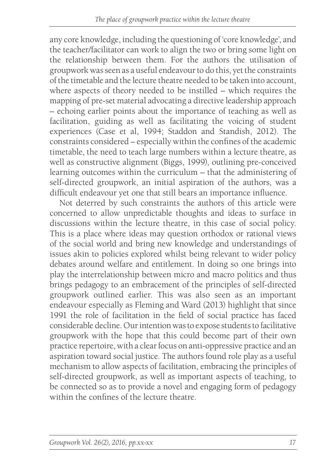any core knowledge, including the questioning of 'core knowledge', and the teacher/facilitator can work to align the two or bring some light on the relationship between them. For the authors the utilisation of groupwork was seen as a useful endeavour to do this, yet the constraints of the timetable and the lecture theatre needed to be taken into account, where aspects of theory needed to be instilled – which requires the mapping of pre-set material advocating a directive leadership approach – echoing earlier points about the importance of teaching as well as facilitation, guiding as well as facilitating the voicing of student experiences (Case et al, 1994; Staddon and Standish, 2012). The constraints considered – especially within the confines of the academic timetable, the need to teach large numbers within a lecture theatre, as well as constructive alignment (Biggs, 1999), outlining pre-conceived learning outcomes within the curriculum – that the administering of self-directed groupwork, an initial aspiration of the authors, was a difficult endeavour yet one that still bears an importance influence.

Not deterred by such constraints the authors of this article were concerned to allow unpredictable thoughts and ideas to surface in discussions within the lecture theatre, in this case of social policy. This is a place where ideas may question orthodox or rational views of the social world and bring new knowledge and understandings of issues akin to policies explored whilst being relevant to wider policy debates around welfare and entitlement. In doing so one brings into play the interrelationship between micro and macro politics and thus brings pedagogy to an embracement of the principles of self-directed groupwork outlined earlier. This was also seen as an important endeavour especially as Fleming and Ward (2013) highlight that since 1991 the role of facilitation in the field of social practice has faced considerable decline. Our intention was to expose students to facilitative groupwork with the hope that this could become part of their own practice repertoire, with a clear focus on anti-oppressive practice and an aspiration toward social justice. The authors found role play as a useful mechanism to allow aspects of facilitation, embracing the principles of self-directed groupwork, as well as important aspects of teaching, to be connected so as to provide a novel and engaging form of pedagogy within the confines of the lecture theatre.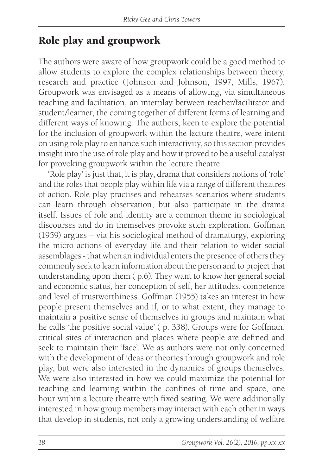### Role play and groupwork

The authors were aware of how groupwork could be a good method to allow students to explore the complex relationships between theory, research and practice (Johnson and Johnson, 1997; Mills, 1967). Groupwork was envisaged as a means of allowing, via simultaneous teaching and facilitation, an interplay between teacher/facilitator and student/learner, the coming together of different forms of learning and different ways of knowing. The authors, keen to explore the potential for the inclusion of groupwork within the lecture theatre, were intent on using role play to enhance such interactivity, so this section provides insight into the use of role play and how it proved to be a useful catalyst for provoking groupwork within the lecture theatre.

'Role play' is just that, it is play, drama that considers notions of 'role' and the roles that people play within life via a range of different theatres of action. Role play practises and rehearses scenarios where students can learn through observation, but also participate in the drama itself. Issues of role and identity are a common theme in sociological discourses and do in themselves provoke such exploration. Goffman (1959) argues – via his sociological method of dramaturgy, exploring the micro actions of everyday life and their relation to wider social assemblages - that when an individual enters the presence of others they commonly seek to learn information about the person and to project that understanding upon them ( p.6). They want to know her general social and economic status, her conception of self, her attitudes, competence and level of trustworthiness. Goffman (1955) takes an interest in how people present themselves and if, or to what extent, they manage to maintain a positive sense of themselves in groups and maintain what he calls 'the positive social value' ( p. 338). Groups were for Goffman, critical sites of interaction and places where people are defined and seek to maintain their 'face'. We as authors were not only concerned with the development of ideas or theories through groupwork and role play, but were also interested in the dynamics of groups themselves. We were also interested in how we could maximize the potential for teaching and learning within the confines of time and space, one hour within a lecture theatre with fixed seating. We were additionally interested in how group members may interact with each other in ways that develop in students, not only a growing understanding of welfare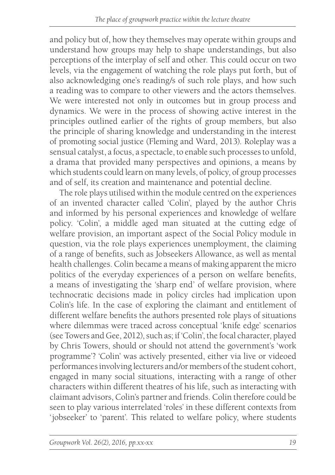and policy but of, how they themselves may operate within groups and understand how groups may help to shape understandings, but also perceptions of the interplay of self and other. This could occur on two levels, via the engagement of watching the role plays put forth, but of also acknowledging one's reading/s of such role plays, and how such a reading was to compare to other viewers and the actors themselves. We were interested not only in outcomes but in group process and dynamics. We were in the process of showing active interest in the principles outlined earlier of the rights of group members, but also the principle of sharing knowledge and understanding in the interest of promoting social justice (Fleming and Ward, 2013). Roleplay was a sensual catalyst, a focus, a spectacle, to enable such processes to unfold, a drama that provided many perspectives and opinions, a means by which students could learn on many levels, of policy, of group processes and of self, its creation and maintenance and potential decline.

The role plays utilised within the module centred on the experiences of an invented character called 'Colin', played by the author Chris and informed by his personal experiences and knowledge of welfare policy. 'Colin', a middle aged man situated at the cutting edge of welfare provision, an important aspect of the Social Policy module in question, via the role plays experiences unemployment, the claiming of a range of benefits, such as Jobseekers Allowance, as well as mental health challenges. Colin became a means of making apparent the micro politics of the everyday experiences of a person on welfare benefits, a means of investigating the 'sharp end' of welfare provision, where technocratic decisions made in policy circles had implication upon Colin's life. In the case of exploring the claimant and entitlement of different welfare benefits the authors presented role plays of situations where dilemmas were traced across conceptual 'knife edge' scenarios (see Towers and Gee, 2012), such as; if 'Colin', the focal character, played by Chris Towers, should or should not attend the government's 'work programme'? 'Colin' was actively presented, either via live or videoed performances involving lecturers and/or members of the student cohort, engaged in many social situations, interacting with a range of other characters within different theatres of his life, such as interacting with claimant advisors, Colin's partner and friends. Colin therefore could be seen to play various interrelated 'roles' in these different contexts from 'jobseeker' to 'parent'. This related to welfare policy, where students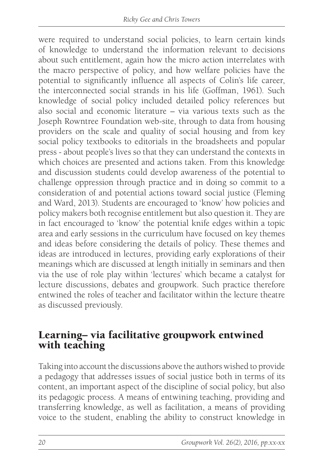were required to understand social policies, to learn certain kinds of knowledge to understand the information relevant to decisions about such entitlement, again how the micro action interrelates with the macro perspective of policy, and how welfare policies have the potential to significantly influence all aspects of Colin's life career, the interconnected social strands in his life (Goffman, 1961). Such knowledge of social policy included detailed policy references but also social and economic literature – via various texts such as the Joseph Rowntree Foundation web-site, through to data from housing providers on the scale and quality of social housing and from key social policy textbooks to editorials in the broadsheets and popular press - about people's lives so that they can understand the contexts in which choices are presented and actions taken. From this knowledge and discussion students could develop awareness of the potential to challenge oppression through practice and in doing so commit to a consideration of and potential actions toward social justice (Fleming and Ward, 2013). Students are encouraged to 'know' how policies and policy makers both recognise entitlement but also question it. They are in fact encouraged to 'know' the potential knife edges within a topic area and early sessions in the curriculum have focused on key themes and ideas before considering the details of policy. These themes and ideas are introduced in lectures, providing early explorations of their meanings which are discussed at length initially in seminars and then via the use of role play within 'lectures' which became a catalyst for lecture discussions, debates and groupwork. Such practice therefore entwined the roles of teacher and facilitator within the lecture theatre as discussed previously.

#### Learning– via facilitative groupwork entwined with teaching

Taking into account the discussions above the authors wished to provide a pedagogy that addresses issues of social justice both in terms of its content, an important aspect of the discipline of social policy, but also its pedagogic process. A means of entwining teaching, providing and transferring knowledge, as well as facilitation, a means of providing voice to the student, enabling the ability to construct knowledge in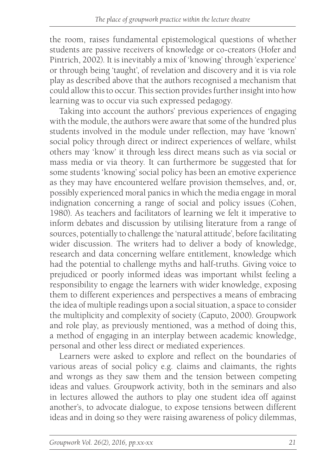the room, raises fundamental epistemological questions of whether students are passive receivers of knowledge or co-creators (Hofer and Pintrich, 2002). It is inevitably a mix of 'knowing' through 'experience' or through being 'taught', of revelation and discovery and it is via role play as described above that the authors recognised a mechanism that could allow this to occur. This section provides further insight into how learning was to occur via such expressed pedagogy.

Taking into account the authors' previous experiences of engaging with the module, the authors were aware that some of the hundred plus students involved in the module under reflection, may have 'known' social policy through direct or indirect experiences of welfare, whilst others may 'know' it through less direct means such as via social or mass media or via theory. It can furthermore be suggested that for some students 'knowing' social policy has been an emotive experience as they may have encountered welfare provision themselves, and, or, possibly experienced moral panics in which the media engage in moral indignation concerning a range of social and policy issues (Cohen, 1980). As teachers and facilitators of learning we felt it imperative to inform debates and discussion by utilising literature from a range of sources, potentially to challenge the 'natural attitude', before facilitating wider discussion. The writers had to deliver a body of knowledge, research and data concerning welfare entitlement, knowledge which had the potential to challenge myths and half-truths. Giving voice to prejudiced or poorly informed ideas was important whilst feeling a responsibility to engage the learners with wider knowledge, exposing them to different experiences and perspectives a means of embracing the idea of multiple readings upon a social situation, a space to consider the multiplicity and complexity of society (Caputo, 2000). Groupwork and role play, as previously mentioned, was a method of doing this, a method of engaging in an interplay between academic knowledge, personal and other less direct or mediated experiences.

Learners were asked to explore and reflect on the boundaries of various areas of social policy e.g. claims and claimants, the rights and wrongs as they saw them and the tension between competing ideas and values. Groupwork activity, both in the seminars and also in lectures allowed the authors to play one student idea off against another's, to advocate dialogue, to expose tensions between different ideas and in doing so they were raising awareness of policy dilemmas,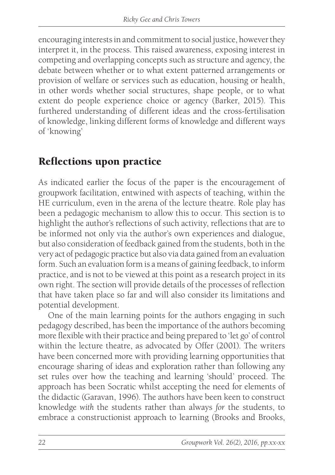encouraging interests in and commitment to social justice, however they interpret it, in the process. This raised awareness, exposing interest in competing and overlapping concepts such as structure and agency, the debate between whether or to what extent patterned arrangements or provision of welfare or services such as education, housing or health, in other words whether social structures, shape people, or to what extent do people experience choice or agency (Barker, 2015). This furthered understanding of different ideas and the cross-fertilisation of knowledge, linking different forms of knowledge and different ways of 'knowing'

#### Reflections upon practice

As indicated earlier the focus of the paper is the encouragement of groupwork facilitation, entwined with aspects of teaching, within the HE curriculum, even in the arena of the lecture theatre. Role play has been a pedagogic mechanism to allow this to occur. This section is to highlight the author's reflections of such activity, reflections that are to be informed not only via the author's own experiences and dialogue, but also consideration of feedback gained from the students, both in the very act of pedagogic practice but also via data gained from an evaluation form. Such an evaluation form is a means of gaining feedback, to inform practice, and is not to be viewed at this point as a research project in its own right. The section will provide details of the processes of reflection that have taken place so far and will also consider its limitations and potential development.

One of the main learning points for the authors engaging in such pedagogy described, has been the importance of the authors becoming more flexible with their practice and being prepared to 'let go' of control within the lecture theatre, as advocated by Offer (2001). The writers have been concerned more with providing learning opportunities that encourage sharing of ideas and exploration rather than following any set rules over how the teaching and learning 'should' proceed. The approach has been Socratic whilst accepting the need for elements of the didactic (Garavan, 1996). The authors have been keen to construct knowledge *with* the students rather than always *for* the students, to embrace a constructionist approach to learning (Brooks and Brooks,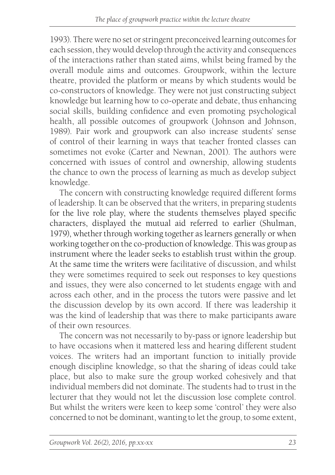1993). There were no set or stringent preconceived learning outcomes for each session, they would develop through the activity and consequences of the interactions rather than stated aims, whilst being framed by the overall module aims and outcomes. Groupwork, within the lecture theatre, provided the platform or means by which students would be co-constructors of knowledge. They were not just constructing subject knowledge but learning how to co-operate and debate, thus enhancing social skills, building confidence and even promoting psychological health, all possible outcomes of groupwork (Johnson and Johnson, 1989). Pair work and groupwork can also increase students' sense of control of their learning in ways that teacher fronted classes can sometimes not evoke (Carter and Newnan, 2001). The authors were concerned with issues of control and ownership, allowing students the chance to own the process of learning as much as develop subject knowledge.

The concern with constructing knowledge required different forms of leadership. It can be observed that the writers, in preparing students for the live role play, where the students themselves played specific characters, displayed the mutual aid referred to earlier (Shulman, 1979), whether through working together as learners generally or when working together on the co-production of knowledge. This was group as instrument where the leader seeks to establish trust within the group. At the same time the writers were facilitative of discussion, and whilst they were sometimes required to seek out responses to key questions and issues, they were also concerned to let students engage with and across each other, and in the process the tutors were passive and let the discussion develop by its own accord. If there was leadership it was the kind of leadership that was there to make participants aware of their own resources.

The concern was not necessarily to by-pass or ignore leadership but to have occasions when it mattered less and hearing different student voices. The writers had an important function to initially provide enough discipline knowledge, so that the sharing of ideas could take place, but also to make sure the group worked cohesively and that individual members did not dominate. The students had to trust in the lecturer that they would not let the discussion lose complete control. But whilst the writers were keen to keep some 'control' they were also concerned to not be dominant, wanting to let the group, to some extent,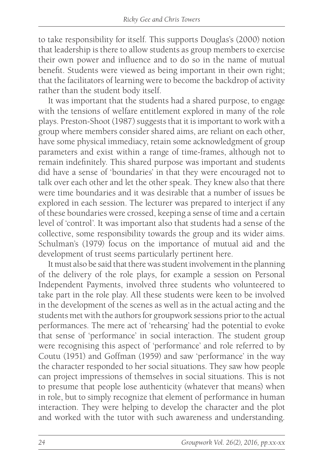to take responsibility for itself. This supports Douglas's (2000) notion that leadership is there to allow students as group members to exercise their own power and influence and to do so in the name of mutual benefit. Students were viewed as being important in their own right; that the facilitators of learning were to become the backdrop of activity rather than the student body itself.

It was important that the students had a shared purpose, to engage with the tensions of welfare entitlement explored in many of the role plays. Preston-Shoot (1987) suggests that it is important to work with a group where members consider shared aims, are reliant on each other, have some physical immediacy, retain some acknowledgment of group parameters and exist within a range of time-frames, although not to remain indefinitely. This shared purpose was important and students did have a sense of 'boundaries' in that they were encouraged not to talk over each other and let the other speak. They knew also that there were time boundaries and it was desirable that a number of issues be explored in each session. The lecturer was prepared to interject if any of these boundaries were crossed, keeping a sense of time and a certain level of 'control'. It was important also that students had a sense of the collective, some responsibility towards the group and its wider aims. Schulman's (1979) focus on the importance of mutual aid and the development of trust seems particularly pertinent here.

It must also be said that there was student involvement in the planning of the delivery of the role plays, for example a session on Personal Independent Payments, involved three students who volunteered to take part in the role play. All these students were keen to be involved in the development of the scenes as well as in the actual acting and the students met with the authors for groupwork sessions prior to the actual performances. The mere act of 'rehearsing' had the potential to evoke that sense of 'performance' in social interaction. The student group were recognising this aspect of 'performance' and role referred to by Coutu (1951) and Goffman (1959) and saw 'performance' in the way the character responded to her social situations. They saw how people can project impressions of themselves in social situations. This is not to presume that people lose authenticity (whatever that means) when in role, but to simply recognize that element of performance in human interaction. They were helping to develop the character and the plot and worked with the tutor with such awareness and understanding.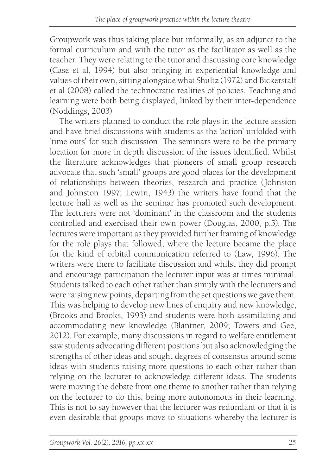Groupwork was thus taking place but informally, as an adjunct to the formal curriculum and with the tutor as the facilitator as well as the teacher. They were relating to the tutor and discussing core knowledge (Case et al, 1994) but also bringing in experiential knowledge and values of their own, sitting alongside what Shultz (1972) and Bickerstaff et al (2008) called the technocratic realities of policies. Teaching and learning were both being displayed, linked by their inter-dependence (Noddings, 2003)

The writers planned to conduct the role plays in the lecture session and have brief discussions with students as the 'action' unfolded with 'time outs' for such discussion. The seminars were to be the primary location for more in depth discussion of the issues identified. Whilst the literature acknowledges that pioneers of small group research advocate that such 'small' groups are good places for the development of relationships between theories, research and practice (Johnston and Johnston 1997; Lewin, 1943) the writers have found that the lecture hall as well as the seminar has promoted such development. The lecturers were not 'dominant' in the classroom and the students controlled and exercised their own power (Douglas, 2000, p.5). The lectures were important as they provided further framing of knowledge for the role plays that followed, where the lecture became the place for the kind of orbital communication referred to (Law, 1996). The writers were there to facilitate discussion and whilst they did prompt and encourage participation the lecturer input was at times minimal. Students talked to each other rather than simply with the lecturers and were raising new points, departing from the set questions we gave them. This was helping to develop new lines of enquiry and new knowledge, (Brooks and Brooks, 1993) and students were both assimilating and accommodating new knowledge (Blantner, 2009; Towers and Gee, 2012). For example, many discussions in regard to welfare entitlement saw students advocating different positions but also acknowledging the strengths of other ideas and sought degrees of consensus around some ideas with students raising more questions to each other rather than relying on the lecturer to acknowledge different ideas. The students were moving the debate from one theme to another rather than relying on the lecturer to do this, being more autonomous in their learning. This is not to say however that the lecturer was redundant or that it is even desirable that groups move to situations whereby the lecturer is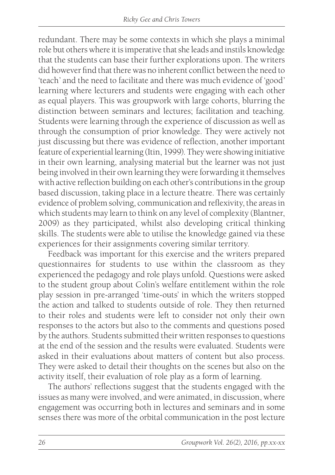redundant. There may be some contexts in which she plays a minimal role but others where it is imperative that she leads and instils knowledge that the students can base their further explorations upon. The writers did however find that there was no inherent conflict between the need to 'teach' and the need to facilitate and there was much evidence of 'good' learning where lecturers and students were engaging with each other as equal players. This was groupwork with large cohorts, blurring the distinction between seminars and lectures; facilitation and teaching. Students were learning through the experience of discussion as well as through the consumption of prior knowledge. They were actively not just discussing but there was evidence of reflection, another important feature of experiential learning (Itin, 1999). They were showing initiative in their own learning, analysing material but the learner was not just being involved in their own learning they were forwarding it themselves with active reflection building on each other's contributions in the group based discussion, taking place in a lecture theatre. There was certainly evidence of problem solving, communication and reflexivity, the areas in which students may learn to think on any level of complexity (Blantner, 2009) as they participated, whilst also developing critical thinking skills. The students were able to utilise the knowledge gained via these experiences for their assignments covering similar territory.

Feedback was important for this exercise and the writers prepared questionnaires for students to use within the classroom as they experienced the pedagogy and role plays unfold. Questions were asked to the student group about Colin's welfare entitlement within the role play session in pre-arranged 'time-outs' in which the writers stopped the action and talked to students outside of role. They then returned to their roles and students were left to consider not only their own responses to the actors but also to the comments and questions posed by the authors. Students submitted their written responses to questions at the end of the session and the results were evaluated. Students were asked in their evaluations about matters of content but also process. They were asked to detail their thoughts on the scenes but also on the activity itself, their evaluation of role play as a form of learning.

The authors' reflections suggest that the students engaged with the issues as many were involved, and were animated, in discussion, where engagement was occurring both in lectures and seminars and in some senses there was more of the orbital communication in the post lecture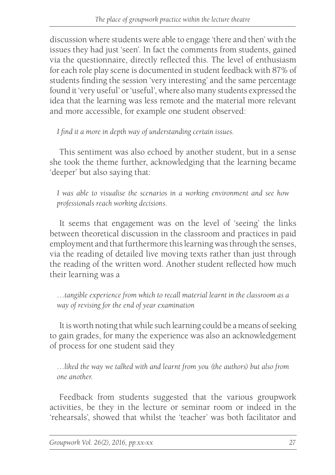discussion where students were able to engage 'there and then' with the issues they had just 'seen'. In fact the comments from students, gained via the questionnaire, directly reflected this. The level of enthusiasm for each role play scene is documented in student feedback with 87% of students finding the session 'very interesting' and the same percentage found it 'very useful' or 'useful', where also many students expressed the idea that the learning was less remote and the material more relevant and more accessible, for example one student observed:

*I find it a more in depth way of understanding certain issues.*

This sentiment was also echoed by another student, but in a sense she took the theme further, acknowledging that the learning became 'deeper' but also saying that:

*I was able to visualise the scenarios in a working environment and see how professionals reach working decisions.*

It seems that engagement was on the level of 'seeing' the links between theoretical discussion in the classroom and practices in paid employment and that furthermore this learning was through the senses, via the reading of detailed live moving texts rather than just through the reading of the written word. Another student reflected how much their learning was a

*…tangible experience from which to recall material learnt in the classroom as a way of revising for the end of year examination*

It is worth noting that while such learning could be a means of seeking to gain grades, for many the experience was also an acknowledgement of process for one student said they

*…liked the way we talked with and learnt from you (the authors) but also from one another.*

Feedback from students suggested that the various groupwork activities, be they in the lecture or seminar room or indeed in the 'rehearsals', showed that whilst the 'teacher' was both facilitator and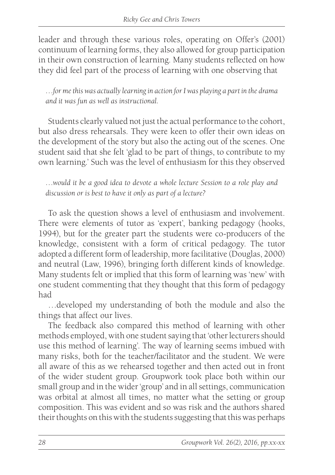leader and through these various roles, operating on Offer's (2001) continuum of learning forms, they also allowed for group participation in their own construction of learning. Many students reflected on how they did feel part of the process of learning with one observing that

*…for me this was actually learning in action for I was playing a part in the drama and it was fun as well as instructional.*

Students clearly valued not just the actual performance to the cohort, but also dress rehearsals. They were keen to offer their own ideas on the development of the story but also the acting out of the scenes. One student said that she felt 'glad to be part of things, to contribute to my own learning.' Such was the level of enthusiasm for this they observed

*…would it be a good idea to devote a whole lecture Session to a role play and discussion or is best to have it only as part of a lecture?*

To ask the question shows a level of enthusiasm and involvement. There were elements of tutor as 'expert', banking pedagogy (hooks, 1994), but for the greater part the students were co-producers of the knowledge, consistent with a form of critical pedagogy. The tutor adopted a different form of leadership, more facilitative (Douglas, 2000) and neutral (Law, 1996), bringing forth different kinds of knowledge. Many students felt or implied that this form of learning was 'new' with one student commenting that they thought that this form of pedagogy had

…developed my understanding of both the module and also the things that affect our lives.

The feedback also compared this method of learning with other methods employed, with one student saying that 'other lecturers should use this method of learning'. The way of learning seems imbued with many risks, both for the teacher/facilitator and the student. We were all aware of this as we rehearsed together and then acted out in front of the wider student group. Groupwork took place both within our small group and in the wider 'group' and in all settings, communication was orbital at almost all times, no matter what the setting or group composition. This was evident and so was risk and the authors shared their thoughts on this with the students suggesting that this was perhaps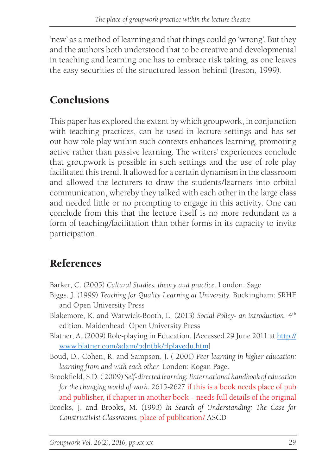'new' as a method of learning and that things could go 'wrong'. But they and the authors both understood that to be creative and developmental in teaching and learning one has to embrace risk taking, as one leaves the easy securities of the structured lesson behind (Ireson, 1999).

## **Conclusions**

This paper has explored the extent by which groupwork, in conjunction with teaching practices, can be used in lecture settings and has set out how role play within such contexts enhances learning, promoting active rather than passive learning. The writers' experiences conclude that groupwork is possible in such settings and the use of role play facilitated this trend. It allowed for a certain dynamism in the classroom and allowed the lecturers to draw the students/learners into orbital communication, whereby they talked with each other in the large class and needed little or no prompting to engage in this activity. One can conclude from this that the lecture itself is no more redundant as a form of teaching/facilitation than other forms in its capacity to invite participation.

## References

- Barker, C. (2005) *Cultural Studies: theory and practice*. London: Sage
- Biggs. J. (1999) *Teaching for Quality Learning at University*. Buckingham: SRHE and Open University Press
- Blakemore, K. and Warwick-Booth, L. (2013) *Social Policy- an introduction*. 4th edition. Maidenhead: Open University Press
- Blatner, A, (2009) Role-playing in Education. [Accessed 29 June 2011 at http:// www.blatner.com/adam/pdntbk/rlplayedu.htm]
- Boud, D., Cohen, R. and Sampson, J. ( 2001) *Peer learning in higher education: learning from and with each other.* London: Kogan Page.
- Brookfield, S.D. ( 2009) *Self-directed learning: Iinternational handbook of education for the changing world of work.* 2615-2627 if this is a book needs place of pub and publisher, if chapter in another book – needs full details of the original
- Brooks, J. and Brooks, M. (1993) *In Search of Understanding: The Case for Constructivist Classrooms.* place of publication*?* ASCD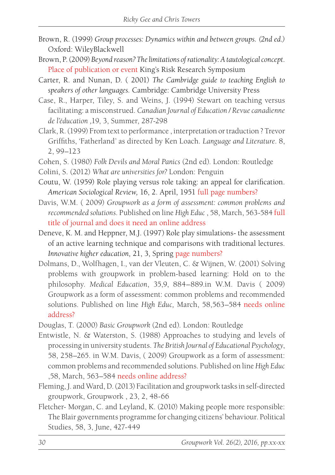- Brown, R. (1999) *Group processes: Dynamics within and between groups. (2nd ed.)* Oxford: WileyBlackwell
- Brown, P. (2009) *Beyond reason? The limitations of rationality: A tautological concept*. Place of publication or event King's Risk Research Symposium
- Carter, R. and Nunan, D. ( 2001) *The Cambridge guide to teaching English to speakers of other languages.* Cambridge: Cambridge University Press
- Case, R., Harper, Tiley, S. and Weins, J. (1994) Stewart on teaching versus facilitating: a misconstrued. *Canadian Journal of Education / Revue canadienne de l'éducation ,*19, 3, Summer, 287-298
- Clark, R. (1999) From text to performance , interpretation or traduction ? Trevor Griffiths, 'Fatherland' as directed by Ken Loach. *Language and Literature*. 8, 2, 99–123
- Cohen, S. (1980) *Folk Devils and Moral Panics* (2nd ed). London: Routledge
- Colini, S. (2012) *What are universities for?* London: Penguin
- Coutu, W. (1959) Role playing versus role taking: an appeal for clarification. *American Sociological Review,* 16, 2. April, 1951 full page numbers?
- Davis, W.M. ( 2009) *Groupwork as a form of assessment: common problems and recommended solutions*. Published on line *High Educ* , 58, March, 563-584 full title of journal and does it need an online address
- Deneve, K. M. and Heppner, M.J. (1997) Role play simulations- the assessment of an active learning technique and comparisons with traditional lectures. *Innovative higher education,* 21, 3, Spring page numbers?
- Dolmans, D., Wolfhagen, I., van der Vleuten, C. & Wijnen, W. (2001) Solving problems with groupwork in problem-based learning: Hold on to the philosophy. *Medical Education*, 35,9, 884–889.in W.M. Davis ( 2009) Groupwork as a form of assessment: common problems and recommended solutions. Published on line *High Educ,* March, 58,563–584 needs online address?
- Douglas, T. (2000) *Basic Groupwork* (2nd ed). London: Routledge
- Entwistle, N. & Waterston, S. (1988) Approaches to studying and levels of processing in university students. *The British Journal of Educational Psychology*, 58, 258–265. in W.M. Davis, ( 2009) Groupwork as a form of assessment: common problems and recommended solutions. Published on line *High Educ* ,58, March, 563–584 needs online address?
- Fleming, J. and Ward, D. (2013) Facilitation and groupwork tasks in self-directed groupwork, Groupwork , 23, 2, 48-66
- Fletcher- Morgan, C. and Leyland, K. (2010) Making people more responsible: The Blair governments programme for changing citizens' behaviour. Political Studies, 58, 3, June, 427-449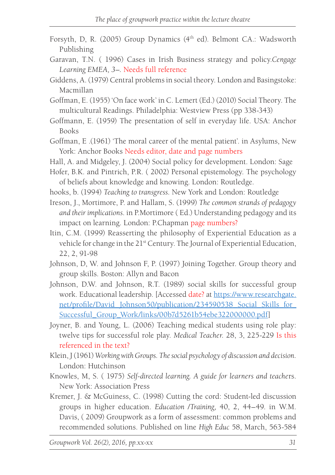- Forsyth, D, R. (2005) Group Dynamics (4th ed). Belmont CA.: Wadsworth Publishing
- Garavan, T.N. ( 1996) Cases in Irish Business strategy and policy.*Cengage Learning EMEA, 3–.* Needs full reference
- Giddens, A. (1979) Central problems in social theory. London and Basingstoke: Macmillan
- Goffman, E. (1955) 'On face work' in C. Lemert (Ed.) (2010) Social Theory. The multicultural Readings. Philadelphia: Westview Press (pp 338-343)
- Goffmann, E. (1959) The presentation of self in everyday life. USA: Anchor Books
- Goffman, E .(1961) 'The moral career of the mental patient'. in Asylums, New York: Anchor Books Needs editor, date and page numbers
- Hall, A. and Midgeley, J. (2004) Social policy for development. London: Sage
- Hofer, B.K. and Pintrich, P.R. ( 2002) Personal epistemology. The psychology of beliefs about knowledge and knowing. London: Routledge.
- hooks, b. (1994) *Teaching to transgress*. New York and London: Routledge
- Ireson, J., Mortimore, P. and Hallam, S. (1999) *The common strands of pedagogy and their implications*. in P.Mortimore ( Ed.) Understanding pedagogy and its impact on learning. London: P.Chapman page numbers?
- Itin, C.M. (1999) Reasserting the philosophy of Experiential Education as a vehicle for change in the 21<sup>st</sup> Century. The Journal of Experiential Education, 22, 2, 91-98
- Johnson, D, W. and Johnson F, P. (1997) Joining Together. Group theory and group skills. Boston: Allyn and Bacon
- Johnson, D.W. and Johnson, R.T. (1989) social skills for successful group work. Educational leadership. [Accessed date? at https://www.researchgate. net/profile/David\_Johnson50/publication/234590538\_Social\_Skills\_for\_ Successful\_Group\_Work/links/00b7d5261b54ebe322000000.pdf]
- Joyner, B. and Young, L. (2006) Teaching medical students using role play: twelve tips for successful role play. *Medical Teacher*. 28, 3, 225-229 Is this referenced in the text?
- Klein, J (1961) *Working with Groups. The social psychology of discussion and decision.* London: Hutchinson
- Knowles, M, S. ( 1975) *Self-directed learning. A guide for learners and teache*rs. New York: Association Press
- Kremer, J. & McGuiness, C. (1998) Cutting the cord: Student-led discussion groups in higher education. *Education /Training,* 40, 2, 44–49. in W.M. Davis, ( 2009) Groupwork as a form of assessment: common problems and recommended solutions. Published on line *High Educ* 58, March, 563-584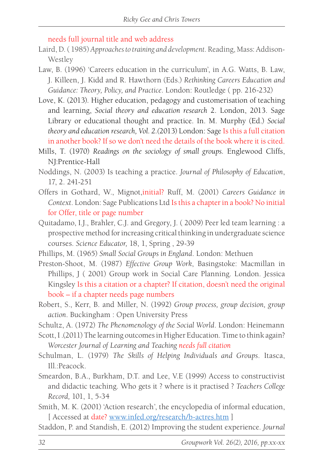needs full journal title and web address

- Laird, D. ( 1985) *Approaches to training and development*. Reading, Mass: Addison-**Westley**
- Law, B. (1996) 'Careers education in the curriculum', in A.G. Watts, B. Law, J. Killeen, J. Kidd and R. Hawthorn (Eds.) *Rethinking Careers Education and Guidance: Theory, Policy, and Practice*. London: Routledge ( pp. 216-232)
- Love, K. (2013). Higher education, pedagogy and customerisation of teaching and learning, *Social theory and education research* 2. London, 2013. Sage Library or educational thought and practice. In. M. Murphy (Ed.) *Social theory and education research, Vol. 2.(*2013) London: Sage Is this a full citation in another book? If so we don't need the details of the book where it is cited.
- Mills, T. (1970) *Readings on the sociology of small groups.* Englewood Cliffs, NJ:Prentice-Hall
- Noddings, N. (2003) Is teaching a practice. *Journal of Philosophy of Education*, 17, 2. 241-251
- Offers in Gothard, W., Mignot,initial? Ruff, M. (2001) *Careers Guidance in Context*. London: Sage Publications Ltd Is this a chapter in a book? No initial for Offer, title or page number
- Quitadamo, I.J., Brahler, C.J. and Gregory, J. ( 2009) Peer led team learning : a prospective method for increasing critical thinking in undergraduate science courses. *Science Educator,* 18, 1, Spring , 29-39
- Phillips, M. (1965) *Small Social Groups in England*. London: Methuen
- Preston-Shoot, M. (1987) *Effective Group Work*, Basingstoke: Macmillan in Phillips, J ( 2001) Group work in Social Care Planning. London. Jessica Kingsley Is this a citation or a chapter? If citation, doesn't need the original book – if a chapter needs page numbers
- Robert, S., Kerr, B. and Miller, N. (1992) *Group process, group decision, group action*. Buckingham : Open University Press
- Schultz, A. (1972) *The Phenomenology of the Social World*. London: Heinemann
- Scott, I .(2011) The learning outcomes in Higher Education. Time to think again? *Worcester Journal of Learning and Teaching needs full citation*
- Schulman, L. (1979) *The Skills of Helping Individuals and Groups*. Itasca, Ill.:Peacock.
- Smeardon, B.A., Burkham, D.T. and Lee, V.E (1999) Access to constructivist and didactic teaching. Who gets it ? where is it practised ? *Teachers College Record,* 101, 1, 5-34
- Smith, M. K. (2001) 'Action research', the encyclopedia of informal education, [ Accessed at date? www.infed.org/research/b-actres.htm ]
- Staddon, P. and Standish, E. (2012) Improving the student experience. *Journal*